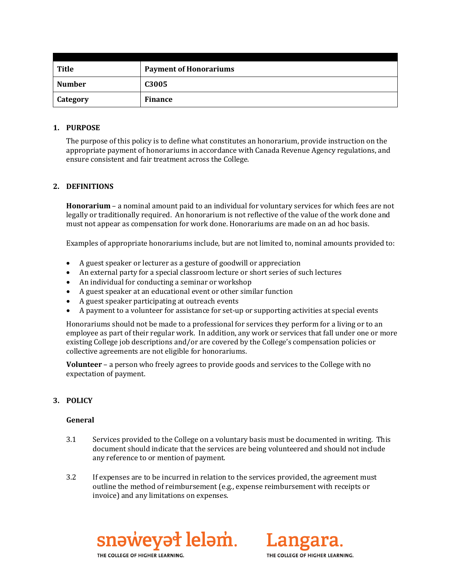| <b>Title</b>    | <b>Payment of Honorariums</b> |
|-----------------|-------------------------------|
| <b>Number</b>   | C3005                         |
| <b>Category</b> | <b>Finance</b>                |

#### **1. PURPOSE**

The purpose of this policy is to define what constitutes an honorarium, provide instruction on the appropriate payment of honorariums in accordance with Canada Revenue Agency regulations, and ensure consistent and fair treatment across the College.

### **2. DEFINITIONS**

**Honorarium** – a nominal amount paid to an individual for voluntary services for which fees are not legally or traditionally required. An honorarium is not reflective of the value of the work done and must not appear as compensation for work done. Honorariums are made on an ad hoc basis.

Examples of appropriate honorariums include, but are not limited to, nominal amounts provided to:

- A guest speaker or lecturer as a gesture of goodwill or appreciation
- An external party for a special classroom lecture or short series of such lectures
- An individual for conducting a seminar or workshop
- A guest speaker at an educational event or other similar function
- A guest speaker participating at outreach events
- A payment to a volunteer for assistance for set-up or supporting activities at special events

Honorariums should not be made to a professional for services they perform for a living or to an employee as part of their regular work. In addition, any work or services that fall under one or more existing College job descriptions and/or are covered by the College's compensation policies or collective agreements are not eligible for honorariums.

**Volunteer** – a person who freely agrees to provide goods and services to the College with no expectation of payment.

## **3. POLICY**

#### **General**

- 3.1 Services provided to the College on a voluntary basis must be documented in writing. This document should indicate that the services are being volunteered and should not include any reference to or mention of payment.
- 3.2 If expenses are to be incurred in relation to the services provided, the agreement must outline the method of reimbursement (e.g., expense reimbursement with receipts or invoice) and any limitations on expenses.



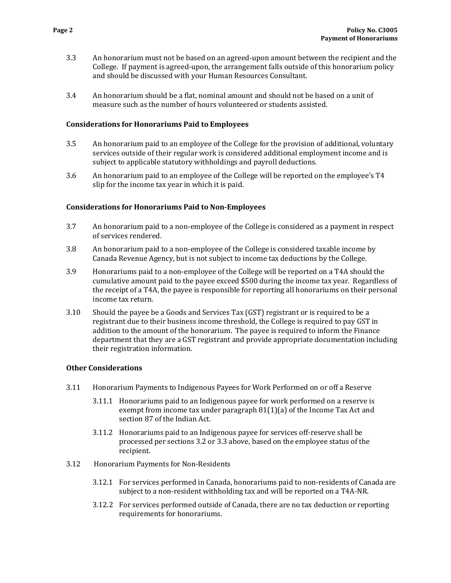- 3.3 An honorarium must not be based on an agreed-upon amount between the recipient and the College. If payment is agreed-upon, the arrangement falls outside of this honorarium policy and should be discussed with your Human Resources Consultant.
- 3.4 An honorarium should be a flat, nominal amount and should not be based on a unit of measure such as the number of hours volunteered or students assisted.

#### **Considerations for Honorariums Paid to Employees**

- 3.5 An honorarium paid to an employee of the College for the provision of additional, voluntary services outside of their regular work is considered additional employment income and is subject to applicable statutory withholdings and payroll deductions.
- 3.6 An honorarium paid to an employee of the College will be reported on the employee's T4 slip for the income tax year in which it is paid.

#### **Considerations for Honorariums Paid to Non-Employees**

- 3.7 An honorarium paid to a non-employee of the College is considered as a payment in respect of services rendered.
- 3.8 An honorarium paid to a non-employee of the College is considered taxable income by Canada Revenue Agency, but is not subject to income tax deductions by the College.
- 3.9 Honorariums paid to a non-employee of the College will be reported on a T4A should the cumulative amount paid to the payee exceed \$500 during the income tax year. Regardless of the receipt of a T4A, the payee is responsible for reporting all honorariums on their personal income tax return.
- 3.10 Should the payee be a Goods and Services Tax (GST) registrant or is required to be a registrant due to their business income threshold, the College is required to pay GST in addition to the amount of the honorarium. The payee is required to inform the Finance department that they are a GST registrant and provide appropriate documentation including their registration information.

#### **Other Considerations**

- 3.11 Honorarium Payments to Indigenous Payees for Work Performed on or off a Reserve
	- 3.11.1 Honorariums paid to an Indigenous payee for work performed on a reserve is exempt from income tax under paragraph 81(1)(a) of the Income Tax Act and section 87 of the Indian Act.
	- 3.11.2 Honorariums paid to an Indigenous payee for services off-reserve shall be processed per sections 3.2 or 3.3 above, based on the employee status of the recipient.
- 3.12 Honorarium Payments for Non-Residents
	- 3.12.1 For services performed in Canada, honorariums paid to non-residents of Canada are subject to a non-resident withholding tax and will be reported on a T4A-NR.
	- 3.12.2 For services performed outside of Canada, there are no tax deduction or reporting requirements for honorariums.